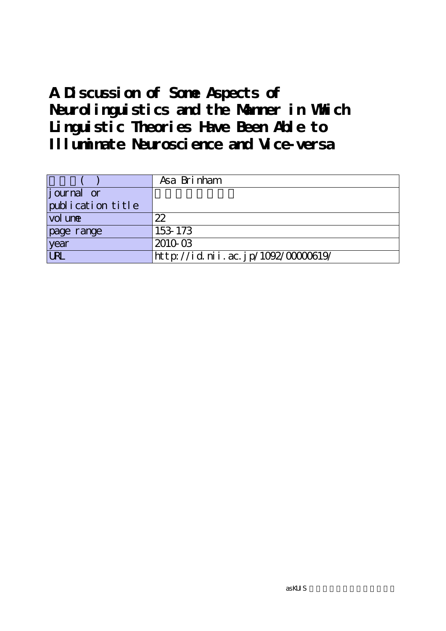## **A Discussion of Some Aspects of Neurolinguistics and the Manner in Which Linguistic Theories Have Been Able to Illuminate Neuroscience and Vice-versa**

|                   | Asa Brinham                       |
|-------------------|-----------------------------------|
| journal or        |                                   |
| publication title |                                   |
| vol une           | 22                                |
| page range        | 153-173                           |
| year              | 2010-03                           |
| URL               | http://id.nii.ac.jp/1092/0000619/ |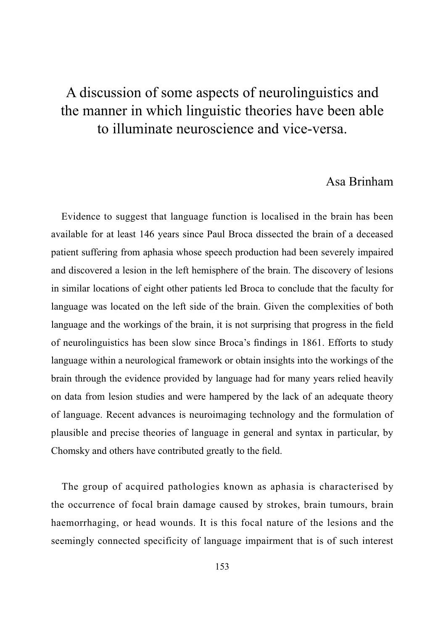## Asa Brinham

Evidence to suggest that language function is localised in the brain has been available for at least 146 years since Paul Broca dissected the brain of a deceased patient suffering from aphasia whose speech production had been severely impaired and discovered a lesion in the left hemisphere of the brain. The discovery of lesions in similar locations of eight other patients led Broca to conclude that the faculty for language was located on the left side of the brain. Given the complexities of both language and the workings of the brain, it is not surprising that progress in the field of neurolinguistics has been slow since Broca's findings in 1861. Efforts to study language within a neurological framework or obtain insights into the workings of the brain through the evidence provided by language had for many years relied heavily on data from lesion studies and were hampered by the lack of an adequate theory of language. Recent advances is neuroimaging technology and the formulation of plausible and precise theories of language in general and syntax in particular, by Chomsky and others have contributed greatly to the field.

The group of acquired pathologies known as aphasia is characterised by the occurrence of focal brain damage caused by strokes, brain tumours, brain haemorrhaging, or head wounds. It is this focal nature of the lesions and the seemingly connected specificity of language impairment that is of such interest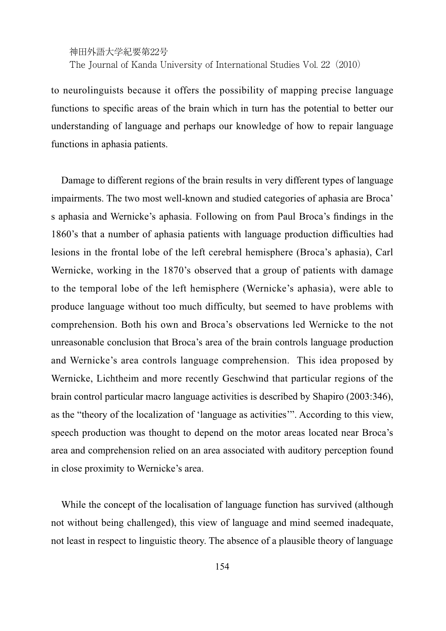神田外語大学紀要第22号 The Journal of Kanda University of International Studies Vol. 22(2010)

to neurolinguists because it offers the possibility of mapping precise language functions to specific areas of the brain which in turn has the potential to better our understanding of language and perhaps our knowledge of how to repair language functions in aphasia patients.

Damage to different regions of the brain results in very different types of language impairments. The two most well-known and studied categories of aphasia are Broca' s aphasia and Wernicke's aphasia. Following on from Paul Broca's findings in the 1860's that a number of aphasia patients with language production difficulties had lesions in the frontal lobe of the left cerebral hemisphere (Broca's aphasia), Carl Wernicke, working in the 1870's observed that a group of patients with damage to the temporal lobe of the left hemisphere (Wernicke's aphasia), were able to produce language without too much difficulty, but seemed to have problems with comprehension. Both his own and Broca's observations led Wernicke to the not unreasonable conclusion that Broca's area of the brain controls language production and Wernicke's area controls language comprehension. This idea proposed by Wernicke, Lichtheim and more recently Geschwind that particular regions of the brain control particular macro language activities is described by Shapiro (2003:346), as the "theory of the localization of 'language as activities'". According to this view, speech production was thought to depend on the motor areas located near Broca's area and comprehension relied on an area associated with auditory perception found in close proximity to Wernicke's area.

While the concept of the localisation of language function has survived (although not without being challenged), this view of language and mind seemed inadequate, not least in respect to linguistic theory. The absence of a plausible theory of language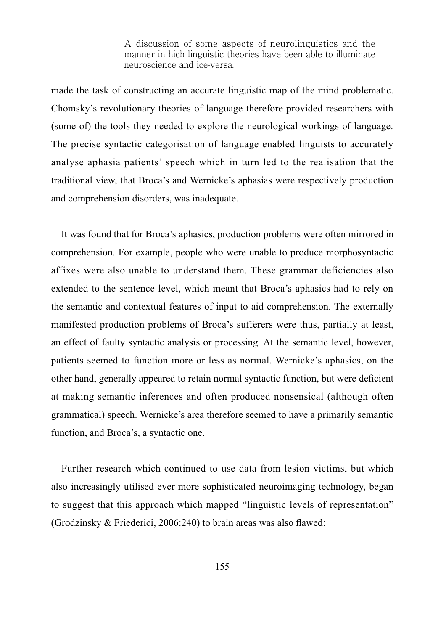made the task of constructing an accurate linguistic map of the mind problematic. Chomsky's revolutionary theories of language therefore provided researchers with (some of) the tools they needed to explore the neurological workings of language. The precise syntactic categorisation of language enabled linguists to accurately analyse aphasia patients' speech which in turn led to the realisation that the traditional view, that Broca's and Wernicke's aphasias were respectively production and comprehension disorders, was inadequate.

It was found that for Broca's aphasics, production problems were often mirrored in comprehension. For example, people who were unable to produce morphosyntactic affixes were also unable to understand them. These grammar deficiencies also extended to the sentence level, which meant that Broca's aphasics had to rely on the semantic and contextual features of input to aid comprehension. The externally manifested production problems of Broca's sufferers were thus, partially at least, an effect of faulty syntactic analysis or processing. At the semantic level, however, patients seemed to function more or less as normal. Wernicke's aphasics, on the other hand, generally appeared to retain normal syntactic function, but were deficient at making semantic inferences and often produced nonsensical (although often grammatical) speech. Wernicke's area therefore seemed to have a primarily semantic function, and Broca's, a syntactic one.

Further research which continued to use data from lesion victims, but which also increasingly utilised ever more sophisticated neuroimaging technology, began to suggest that this approach which mapped "linguistic levels of representation" (Grodzinsky  $&$  Friederici, 2006:240) to brain areas was also flawed: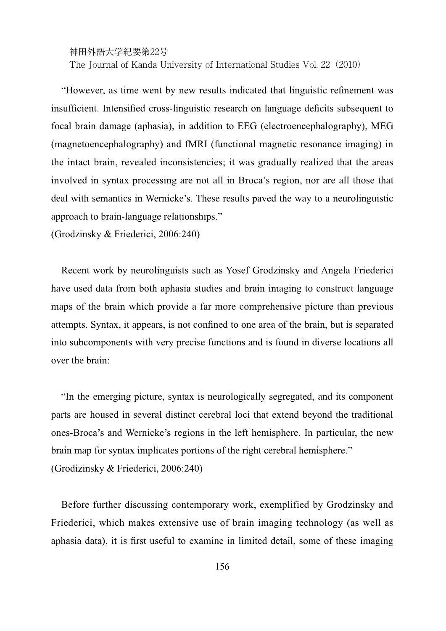The Journal of Kanda University of International Studies Vol. 22(2010)

"However, as time went by new results indicated that linguistic refinement was insufficient. Intensified cross-linguistic research on language deficits subsequent to focal brain damage (aphasia), in addition to EEG (electroencephalography), MEG (magnetoencephalography) and fMRI (functional magnetic resonance imaging) in the intact brain, revealed inconsistencies; it was gradually realized that the areas involved in syntax processing are not all in Broca's region, nor are all those that deal with semantics in Wernicke's. These results paved the way to a neurolinguistic approach to brain-language relationships."

(Grodzinsky & Friederici, 2006:240)

Recent work by neurolinguists such as Yosef Grodzinsky and Angela Friederici have used data from both aphasia studies and brain imaging to construct language maps of the brain which provide a far more comprehensive picture than previous attempts. Syntax, it appears, is not confined to one area of the brain, but is separated into subcomponents with very precise functions and is found in diverse locations all  $over$  the brain:

"In the emerging picture, syntax is neurologically segregated, and its component parts are housed in several distinct cerebral loci that extend beyond the traditional ones-Broca's and Wernicke's regions in the left hemisphere. In particular, the new brain map for syntax implicates portions of the right cerebral hemisphere." (Grodizinsky  $&$  Friederici, 2006:240)

Before further discussing contemporary work, exemplified by Grodzinsky and Friederici, which makes extensive use of brain imaging technology (as well as aphasia data), it is first useful to examine in limited detail, some of these imaging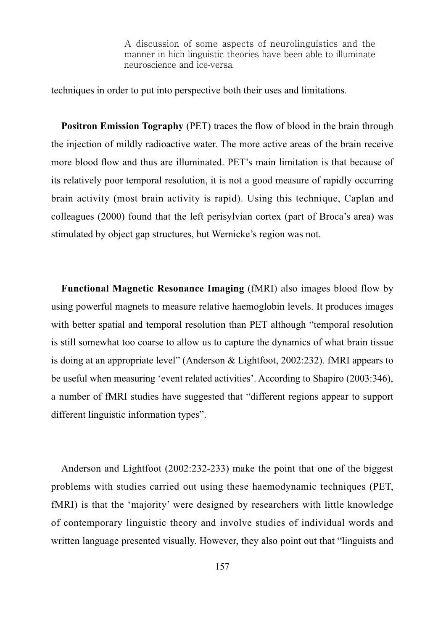techniques in order to put into perspective both their uses and limitations.

**Positron Emission Tography** (PET) traces the flow of blood in the brain through the injection of mildly radioactive water. The more active areas of the brain receive more blood flow and thus are illuminated. PET's main limitation is that because of its relatively poor temporal resolution, it is not a good measure of rapidly occurring brain activity (most brain activity is rapid). Using this technique, Caplan and colleagues (2000) found that the left perisylvian cortex (part of Broca's area) was stimulated by object gap structures, but Wernicke's region was not.

**Functional Magnetic Resonance Imaging** (fMRI) also images blood flow by using powerful magnets to measure relative haemoglobin levels. It produces images with better spatial and temporal resolution than PET although "temporal resolution is still somewhat too coarse to allow us to capture the dynamics of what brain tissue is doing at an appropriate level" (Anderson & Lightfoot, 2002:232). fMRI appears to be useful when measuring 'event related activities'. According to Shapiro (2003:346), a number of fMRI studies have suggested that "different regions appear to support different linguistic information types".

Anderson and Lightfoot  $(2002:232-233)$  make the point that one of the biggest problems with studies carried out using these haemodynamic techniques (PET, fMRI) is that the 'majority' were designed by researchers with little knowledge of contemporary linguistic theory and involve studies of individual words and written language presented visually. However, they also point out that "linguists and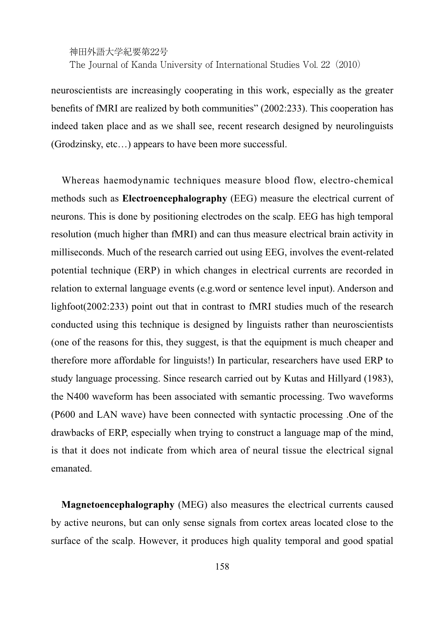The Journal of Kanda University of International Studies Vol. 22(2010)

neuroscientists are increasingly cooperating in this work, especially as the greater benefits of fMRI are realized by both communities" (2002:233). This cooperation has indeed taken place and as we shall see, recent research designed by neurolinguists (Grodzinsky, etc…) appears to have been more successful.

Whereas haemodynamic techniques measure blood flow, electro-chemical methods such as **Electroencephalography** (EEG) measure the electrical current of neurons. This is done by positioning electrodes on the scalp. EEG has high temporal resolution (much higher than fMRI) and can thus measure electrical brain activity in milliseconds. Much of the research carried out using EEG, involves the event-related potential technique (ERP) in which changes in electrical currents are recorded in relation to external language events (e.g.word or sentence level input). Anderson and lighfoot $(2002:233)$  point out that in contrast to fMRI studies much of the research conducted using this technique is designed by linguists rather than neuroscientists (one of the reasons for this, they suggest, is that the equipment is much cheaper and therefore more affordable for linguists!) In particular, researchers have used ERP to study language processing. Since research carried out by Kutas and Hillyard (1983), the N400 waveform has been associated with semantic processing. Two waveforms (P600 and LAN wave) have been connected with syntactic processing .One of the drawbacks of ERP, especially when trying to construct a language map of the mind, is that it does not indicate from which area of neural tissue the electrical signal emanated.

**Magnetoencephalography** (MEG) also measures the electrical currents caused by active neurons, but can only sense signals from cortex areas located close to the surface of the scalp. However, it produces high quality temporal and good spatial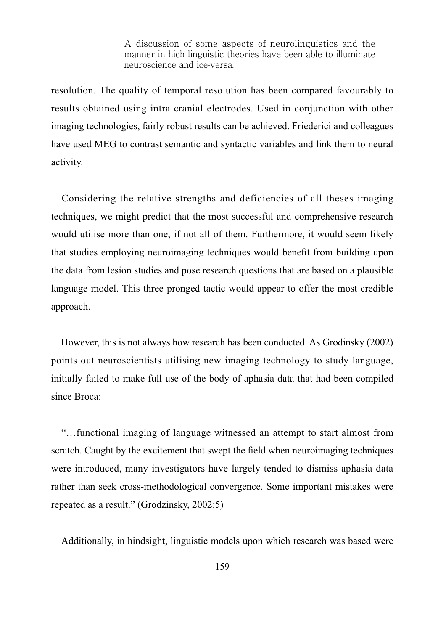resolution. The quality of temporal resolution has been compared favourably to results obtained using intra cranial electrodes. Used in conjunction with other imaging technologies, fairly robust results can be achieved. Friederici and colleagues have used MEG to contrast semantic and syntactic variables and link them to neural activity.

Considering the relative strengths and deficiencies of all theses imaging techniques, we might predict that the most successful and comprehensive research would utilise more than one, if not all of them. Furthermore, it would seem likely that studies employing neuroimaging techniques would benefit from building upon the data from lesion studies and pose research questions that are based on a plausible language model. This three pronged tactic would appear to offer the most credible approach.

However, this is not always how research has been conducted. As Grodinsky (2002) points out neuroscientists utilising new imaging technology to study language, initially failed to make full use of the body of aphasia data that had been compiled since Broca:

"…functional imaging of language witnessed an attempt to start almost from scratch. Caught by the excitement that swept the field when neuroimaging techniques were introduced, many investigators have largely tended to dismiss aphasia data rather than seek cross-methodological convergence. Some important mistakes were repeated as a result." (Grodzinsky,  $2002:5$ )

Additionally, in hindsight, linguistic models upon which research was based were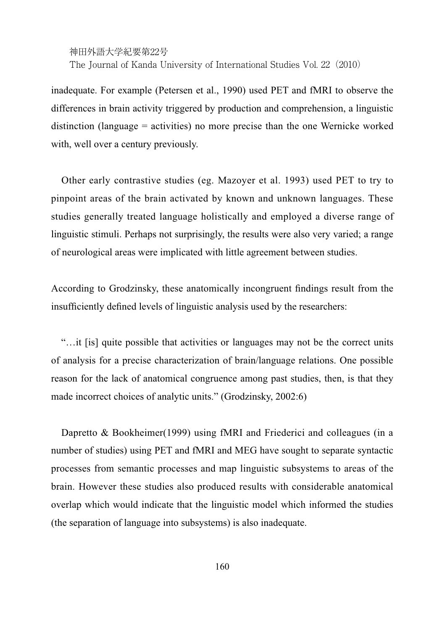The Journal of Kanda University of International Studies Vol. 22(2010)

inadequate. For example (Petersen et al., 1990) used PET and fMRI to observe the differences in brain activity triggered by production and comprehension, a linguistic distinction (language = activities) no more precise than the one Wernicke worked with, well over a century previously.

Other early contrastive studies (eg. Mazoyer et al. 1993) used PET to try to pinpoint areas of the brain activated by known and unknown languages. These studies generally treated language holistically and employed a diverse range of linguistic stimuli. Perhaps not surprisingly, the results were also very varied; a range of neurological areas were implicated with little agreement between studies.

According to Grodzinsky, these anatomically incongruent findings result from the insufficiently defined levels of linguistic analysis used by the researchers:

"…it [is] quite possible that activities or languages may not be the correct units of analysis for a precise characterization of brain/language relations. One possible reason for the lack of anatomical congruence among past studies, then, is that they made incorrect choices of analytic units." (Grodzinsky,  $2002:6$ )

Dapretto & Bookheimer(1999) using fMRI and Friederici and colleagues (in a number of studies) using PET and fMRI and MEG have sought to separate syntactic processes from semantic processes and map linguistic subsystems to areas of the brain. However these studies also produced results with considerable anatomical overlap which would indicate that the linguistic model which informed the studies (the separation of language into subsystems) is also inadequate.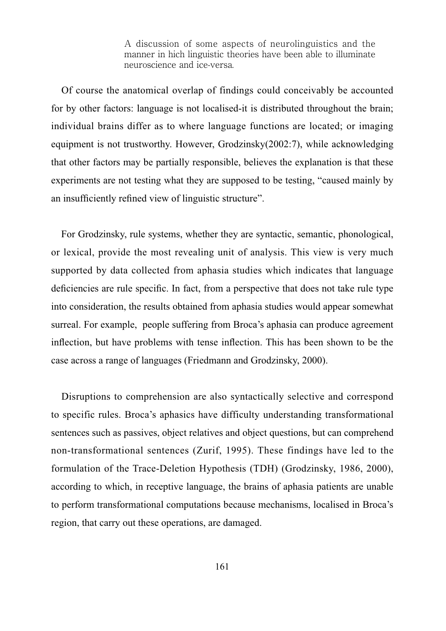Of course the anatomical overlap of findings could conceivably be accounted for by other factors: language is not localised-it is distributed throughout the brain; individual brains differ as to where language functions are located; or imaging equipment is not trustworthy. However, Grodzinsky $(2002:7)$ , while acknowledging that other factors may be partially responsible, believes the explanation is that these experiments are not testing what they are supposed to be testing, "caused mainly by an insufficiently refined view of linguistic structure".

For Grodzinsky, rule systems, whether they are syntactic, semantic, phonological, or lexical, provide the most revealing unit of analysis. This view is very much supported by data collected from aphasia studies which indicates that language deficiencies are rule specific. In fact, from a perspective that does not take rule type into consideration, the results obtained from aphasia studies would appear somewhat surreal. For example, people suffering from Broca's aphasia can produce agreement inflection, but have problems with tense inflection. This has been shown to be the case across a range of languages (Friedmann and Grodzinsky, 2000).

Disruptions to comprehension are also syntactically selective and correspond to specific rules. Broca's aphasics have difficulty understanding transformational sentences such as passives, object relatives and object questions, but can comprehend non-transformational sentences (Zurif, 1995). These findings have led to the formulation of the Trace-Deletion Hypothesis (TDH) (Grodzinsky, 1986, 2000), according to which, in receptive language, the brains of aphasia patients are unable to perform transformational computations because mechanisms, localised in Broca's region, that carry out these operations, are damaged.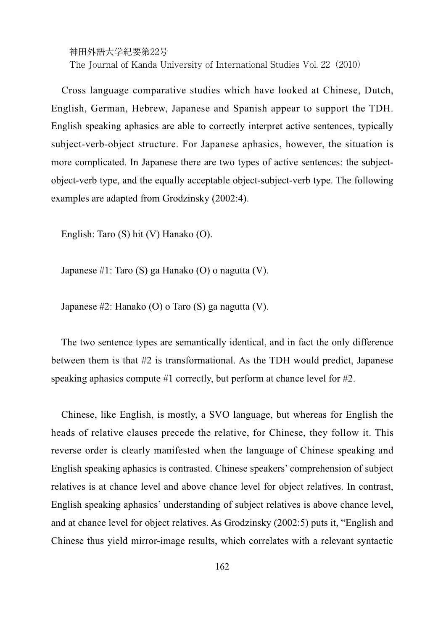神田外語大学紀要第22号 The Journal of Kanda University of International Studies Vol. 22(2010)

Cross language comparative studies which have looked at Chinese, Dutch, English, German, Hebrew, Japanese and Spanish appear to support the TDH. English speaking aphasics are able to correctly interpret active sentences, typically subject-verb-object structure. For Japanese aphasics, however, the situation is more complicated. In Japanese there are two types of active sentences: the subjectobject-verb type, and the equally acceptable object-subject-verb type. The following examples are adapted from Grodzinsky (2002:4).

English: Taro (S) hit (V) Hanako (O).

Japanese #1: Taro (S) ga Hanako (O) o nagutta (V).

Japanese #2: Hanako (O) o Taro (S) ga nagutta (V).

The two sentence types are semantically identical, and in fact the only difference between them is that #2 is transformational. As the TDH would predict, Japanese speaking aphasics compute #1 correctly, but perform at chance level for #2.

Chinese, like English, is mostly, a SVO language, but whereas for English the heads of relative clauses precede the relative, for Chinese, they follow it. This reverse order is clearly manifested when the language of Chinese speaking and English speaking aphasics is contrasted. Chinese speakers' comprehension of subject relatives is at chance level and above chance level for object relatives. In contrast, English speaking aphasics' understanding of subject relatives is above chance level, and at chance level for object relatives. As Grodzinsky (2002:5) puts it, "English and Chinese thus yield mirror-image results, which correlates with a relevant syntactic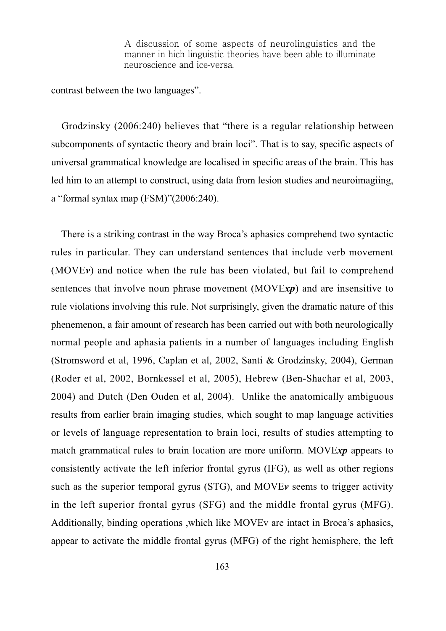contrast between the two languages".

Grodzinsky (2006:240) believes that "there is a regular relationship between subcomponents of syntactic theory and brain loci". That is to say, specific aspects of universal grammatical knowledge are localised in specific areas of the brain. This has led him to an attempt to construct, using data from lesion studies and neuroimagiing, a "formal syntax map  $(FSM)$ " $(2006:240)$ .

There is a striking contrast in the way Broca's aphasics comprehend two syntactic rules in particular. They can understand sentences that include verb movement  $(MOVEv)$  and notice when the rule has been violated, but fail to comprehend sentences that involve noun phrase movement (MOVExp) and are insensitive to rule violations involving this rule. Not surprisingly, given the dramatic nature of this phenemenon, a fair amount of research has been carried out with both neurologically normal people and aphasia patients in a number of languages including English (Stromsword et al, 1996, Caplan et al, 2002, Santi & Grodzinsky, 2004), German (Roder et al, 2002, Bornkessel et al, 2005), Hebrew (Ben-Shachar et al, 2003, 2004) and Dutch (Den Ouden et al, 2004). Unlike the anatomically ambiguous results from earlier brain imaging studies, which sought to map language activities or levels of language representation to brain loci, results of studies attempting to match grammatical rules to brain location are more uniform. MOVExp appears to consistently activate the left inferior frontal gyrus (IFG), as well as other regions such as the superior temporal gyrus (STG), and MOVE<sub>v</sub> seems to trigger activity in the left superior frontal gyrus (SFG) and the middle frontal gyrus (MFG). Additionally, binding operations ,which like MOVEv are intact in Broca's aphasics, appear to activate the middle frontal gyrus (MFG) of the right hemisphere, the left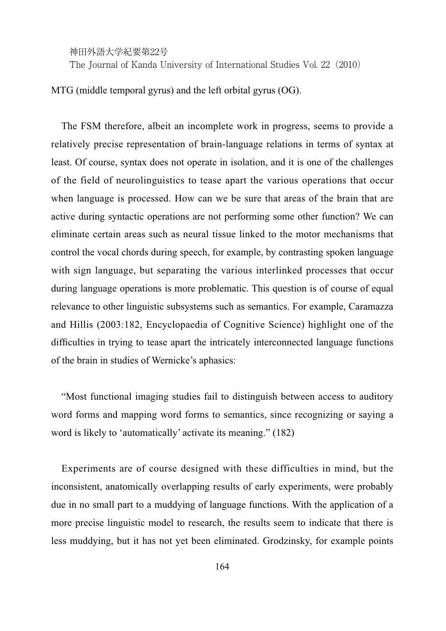The Journal of Kanda University of International Studies Vol. 22 (2010)

MTG (middle temporal gyrus) and the left orbital gyrus (OG).

The FSM therefore, albeit an incomplete work in progress, seems to provide a relatively precise representation of brain-language relations in terms of syntax at least. Of course, syntax does not operate in isolation, and it is one of the challenges of the field of neurolinguistics to tease apart the various operations that occur when language is processed. How can we be sure that areas of the brain that are active during syntactic operations are not performing some other function? We can eliminate certain areas such as neural tissue linked to the motor mechanisms that control the vocal chords during speech, for example, by contrasting spoken language with sign language, but separating the various interlinked processes that occur during language operations is more problematic. This question is of course of equal relevance to other linguistic subsystems such as semantics. For example, Caramazza and Hillis (2003:182, Encyclopaedia of Cognitive Science) highlight one of the difficulties in trying to tease apart the intricately interconnected language functions of the brain in studies of Wernicke's aphasics:

"Most functional imaging studies fail to distinguish between access to auditory word forms and mapping word forms to semantics, since recognizing or saying a word is likely to 'automatically' activate its meaning."  $(182)$ 

Experiments are of course designed with these difficulties in mind, but the inconsistent, anatomically overlapping results of early experiments, were probably due in no small part to a muddying of language functions. With the application of a more precise linguistic model to research, the results seem to indicate that there is less muddying, but it has not yet been eliminated. Grodzinsky, for example points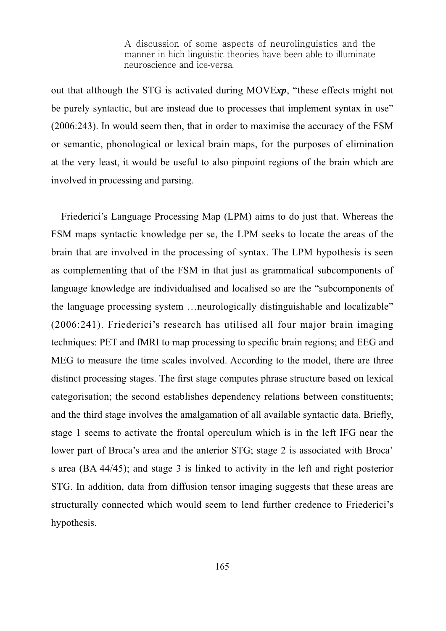out that although the STG is activated during MOVExp, "these effects might not be purely syntactic, but are instead due to processes that implement syntax in use"  $(2006:243)$ . In would seem then, that in order to maximise the accuracy of the FSM or semantic, phonological or lexical brain maps, for the purposes of elimination at the very least, it would be useful to also pinpoint regions of the brain which are involved in processing and parsing.

Friederici's Language Processing Map (LPM) aims to do just that. Whereas the FSM maps syntactic knowledge per se, the LPM seeks to locate the areas of the brain that are involved in the processing of syntax. The LPM hypothesis is seen as complementing that of the FSM in that just as grammatical subcomponents of language knowledge are individualised and localised so are the "subcomponents of the language processing system …neurologically distinguishable and localizable"  $(2006:241)$ . Friederici's research has utilised all four major brain imaging techniques: PET and fMRI to map processing to specific brain regions; and EEG and MEG to measure the time scales involved. According to the model, there are three distinct processing stages. The first stage computes phrase structure based on lexical categorisation; the second establishes dependency relations between constituents; and the third stage involves the amalgamation of all available syntactic data. Briefly, stage 1 seems to activate the frontal operculum which is in the left IFG near the lower part of Broca's area and the anterior STG; stage 2 is associated with Broca' s area (BA 44/45); and stage 3 is linked to activity in the left and right posterior STG. In addition, data from diffusion tensor imaging suggests that these areas are structurally connected which would seem to lend further credence to Friederici's hypothesis.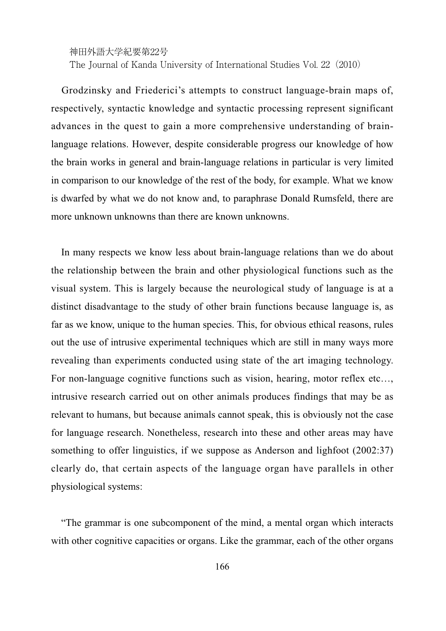The Journal of Kanda University of International Studies Vol. 22 (2010)

Grodzinsky and Friederici's attempts to construct language-brain maps of, respectively, syntactic knowledge and syntactic processing represent significant advances in the quest to gain a more comprehensive understanding of brainlanguage relations. However, despite considerable progress our knowledge of how the brain works in general and brain-language relations in particular is very limited in comparison to our knowledge of the rest of the body, for example. What we know is dwarfed by what we do not know and, to paraphrase Donald Rumsfeld, there are more unknown unknowns than there are known unknowns.

In many respects we know less about brain-language relations than we do about the relationship between the brain and other physiological functions such as the visual system. This is largely because the neurological study of language is at a distinct disadvantage to the study of other brain functions because language is, as far as we know, unique to the human species. This, for obvious ethical reasons, rules out the use of intrusive experimental techniques which are still in many ways more revealing than experiments conducted using state of the art imaging technology. For non-language cognitive functions such as vision, hearing, motor reflex etc…, intrusive research carried out on other animals produces findings that may be as relevant to humans, but because animals cannot speak, this is obviously not the case for language research. Nonetheless, research into these and other areas may have something to offer linguistics, if we suppose as Anderson and lightfoot  $(2002:37)$ clearly do, that certain aspects of the language organ have parallels in other physiological systems:

"The grammar is one subcomponent of the mind, a mental organ which interacts with other cognitive capacities or organs. Like the grammar, each of the other organs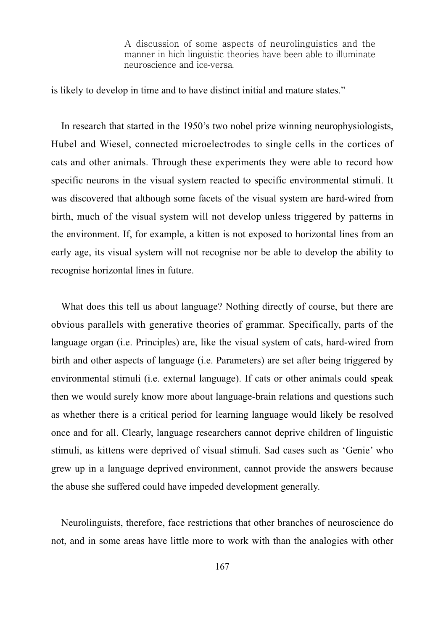is likely to develop in time and to have distinct initial and mature states."

In research that started in the 1950's two nobel prize winning neurophysiologists, Hubel and Wiesel, connected microelectrodes to single cells in the cortices of cats and other animals. Through these experiments they were able to record how specific neurons in the visual system reacted to specific environmental stimuli. It was discovered that although some facets of the visual system are hard-wired from birth, much of the visual system will not develop unless triggered by patterns in the environment. If, for example, a kitten is not exposed to horizontal lines from an early age, its visual system will not recognise nor be able to develop the ability to recognise horizontal lines in future.

What does this tell us about language? Nothing directly of course, but there are obvious parallels with generative theories of grammar. Specifically, parts of the language organ (i.e. Principles) are, like the visual system of cats, hard-wired from birth and other aspects of language (i.e. Parameters) are set after being triggered by environmental stimuli (i.e. external language). If cats or other animals could speak then we would surely know more about language-brain relations and questions such as whether there is a critical period for learning language would likely be resolved once and for all. Clearly, language researchers cannot deprive children of linguistic stimuli, as kittens were deprived of visual stimuli. Sad cases such as 'Genie' who grew up in a language deprived environment, cannot provide the answers because the abuse she suffered could have impeded development generally.

Neurolinguists, therefore, face restrictions that other branches of neuroscience do not, and in some areas have little more to work with than the analogies with other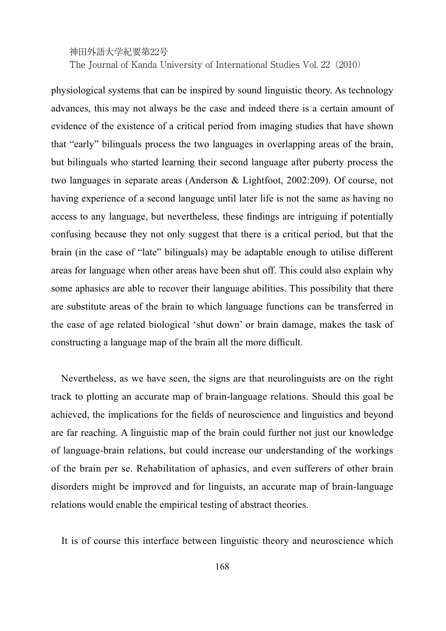神田外語大学紀要第22号 The Journal of Kanda University of International Studies Vol. 22 (2010)

physiological systems that can be inspired by sound linguistic theory. As technology advances, this may not always be the case and indeed there is a certain amount of evidence of the existence of a critical period from imaging studies that have shown that "early" bilinguals process the two languages in overlapping areas of the brain, but bilinguals who started learning their second language after puberty process the two languages in separate areas (Anderson & Lightfoot, 2002:209). Of course, not having experience of a second language until later life is not the same as having no access to any language, but nevertheless, these findings are intriguing if potentially confusing because they not only suggest that there is a critical period, but that the brain (in the case of "late" bilinguals) may be adaptable enough to utilise different areas for language when other areas have been shut off. This could also explain why some aphasics are able to recover their language abilities. This possibility that there are substitute areas of the brain to which language functions can be transferred in the case of age related biological 'shut down' or brain damage, makes the task of constructing a language map of the brain all the more difficult.

Nevertheless, as we have seen, the signs are that neurolinguists are on the right track to plotting an accurate map of brain-language relations. Should this goal be achieved, the implications for the fields of neuroscience and linguistics and beyond are far reaching. A linguistic map of the brain could further not just our knowledge of language-brain relations, but could increase our understanding of the workings of the brain per se. Rehabilitation of aphasics, and even sufferers of other brain disorders might be improved and for linguists, an accurate map of brain-language relations would enable the empirical testing of abstract theories.

It is of course this interface between linguistic theory and neuroscience which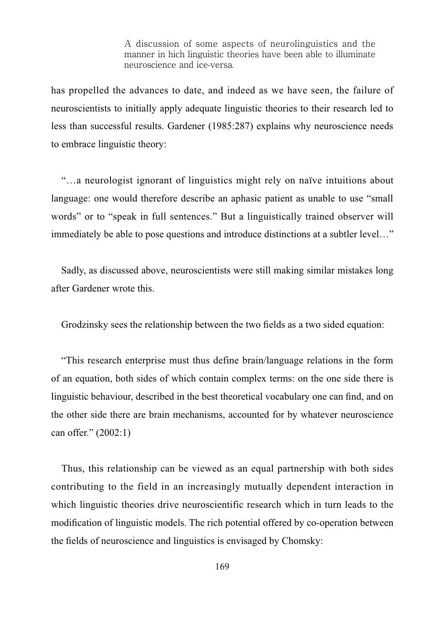has propelled the advances to date, and indeed as we have seen, the failure of neuroscientists to initially apply adequate linguistic theories to their research led to less than successful results. Gardener (1985:287) explains why neuroscience needs to embrace linguistic theory:

"…a neurologist ignorant of linguistics might rely on naïve intuitions about language: one would therefore describe an aphasic patient as unable to use "small words" or to "speak in full sentences." But a linguistically trained observer will immediately be able to pose questions and introduce distinctions at a subtler level…"

Sadly, as discussed above, neuroscientists were still making similar mistakes long after Gardener wrote this.

Grodzinsky sees the relationship between the two fields as a two sided equation:

"This research enterprise must thus define brain/language relations in the form of an equation, both sides of which contain complex terms: on the one side there is linguistic behaviour, described in the best theoretical vocabulary one can find, and on the other side there are brain mechanisms, accounted for by whatever neuroscience can offer."  $(2002:1)$ 

Thus, this relationship can be viewed as an equal partnership with both sides contributing to the field in an increasingly mutually dependent interaction in which linguistic theories drive neuroscientific research which in turn leads to the modification of linguistic models. The rich potential offered by co-operation between the fields of neuroscience and linguistics is envisaged by Chomsky: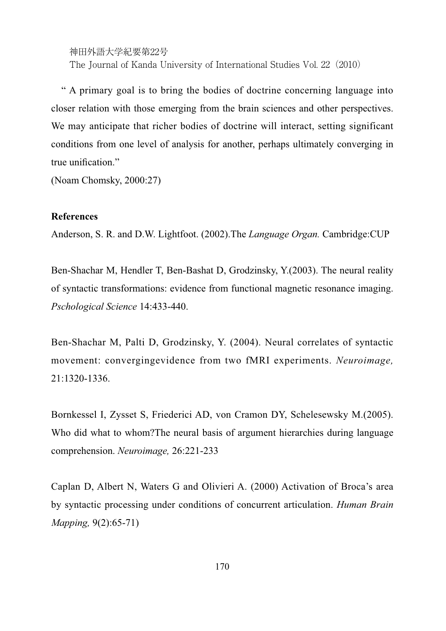神田外語大学紀要第22号 The Journal of Kanda University of International Studies Vol. 22(2010)

" A primary goal is to bring the bodies of doctrine concerning language into closer relation with those emerging from the brain sciences and other perspectives. We may anticipate that richer bodies of doctrine will interact, setting significant conditions from one level of analysis for another, perhaps ultimately converging in true unification."

 $(Noam Chomsky, 2000:27)$ 

## **References**

Anderson, S. R. and D.W. Lightfoot. (2002). The *Language Organ*. Cambridge: CUP

Ben-Shachar M, Hendler T, Ben-Bashat D, Grodzinsky, Y.(2003). The neural reality of syntactic transformations: evidence from functional magnetic resonance imaging. *Pschological Science*

Ben-Shachar M. Palti D. Grodzinsky, Y. (2004). Neural correlates of syntactic movement: convergingevidence from two fMRI experiments. Neuroimage, 21:1320-1336.

Bornkessel I, Zysset S, Friederici AD, von Cramon DY, Schelesewsky M.(2005). Who did what to whom?The neural basis of argument hierarchies during language comprehension. *Neuroimage,*

Caplan D, Albert N, Waters G and Olivieri A. (2000) Activation of Broca's area by syntactic processing under conditions of concurrent articulation. *Human Brain Mapping,*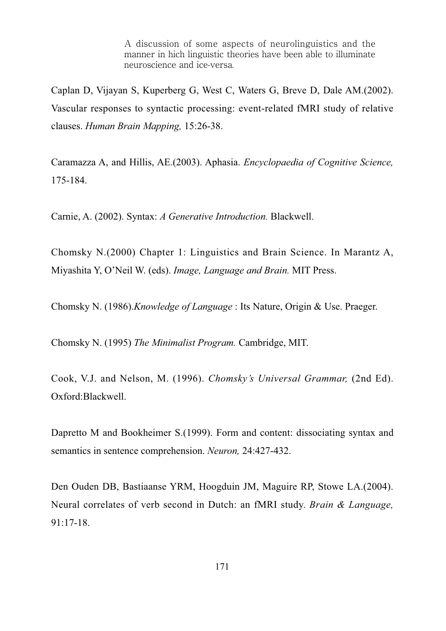Caplan D, Vijayan S, Kuperberg G, West C, Waters G, Breve D, Dale AM.(2002). Vascular responses to syntactic processing: event-related fMRI study of relative clauses. *Human Brain Mapping,*

Caramazza A, and Hillis, AE.(2003). Aphasia. *Encyclopaedia of Cognitive Science*, 175-184.

Carnie, A. (2002). Syntax: *A Generative Introduction*. Blackwell.

Chomsky N.(2000) Chapter 1: Linguistics and Brain Science. In Marantz A, Miyashita Y, O'Neil W. (eds). *Image, Language and Brain*. MIT Press.

Chomsky N. (1986).*Knowledge of Language*: Its Nature, Origin & Use. Praeger.

Chomsky N. (1995) *The Minimalist Program.* Cambridge, MIT.

Cook, V.J. and Nelson, M. (1996). Chomsky's Universal Grammar, (2nd Ed). Oxford:Blackwell.

Dapretto M and Bookheimer S.(1999). Form and content: dissociating syntax and semantics in sentence comprehension. *Neuron,*

Den Ouden DB, Bastiaanse YRM, Hoogduin JM, Maguire RP, Stowe LA. (2004). Neural correlates of verb second in Dutch: an fMRI study. *Brain & Language*,  $91:17-18.$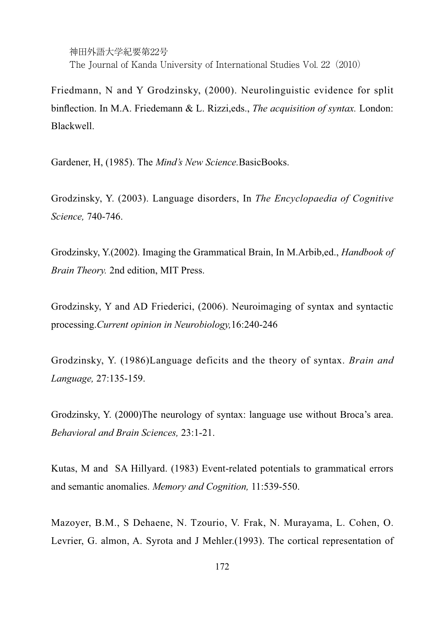神田外語大学紀要第22号 The Journal of Kanda University of International Studies Vol. 22(2010)

Friedmann, N and Y Grodzinsky, (2000). Neurolinguistic evidence for split binflection. In M.A. Friedemann & L. Rizzi, eds., *The acquisition of syntax*. London: Blackwell.

Gardener, H, (1985). The *Mind's New Science*.BasicBooks.

Grodzinsky, Y. (2003). Language disorders, In The Encyclopaedia of Cognitive *Science,*

Grodzinsky, Y.(2002). Imaging the Grammatical Brain, In M.Arbib,ed., *Handbook of Brain Theory.* 2nd edition, MIT Press.

Grodzinsky, Y and AD Friederici, (2006). Neuroimaging of syntax and syntactic processing.*Current opinion in Neurobiology,*

Grodzinsky, Y. (1986)Language deficits and the theory of syntax. *Brain and Language,*

Grodzinsky, Y. (2000)The neurology of syntax: language use without Broca's area. *Behavioral and Brain Sciences,*

Kutas, M and SA Hillyard. (1983) Event-related potentials to grammatical errors and semantic anomalies. *Memory and Cognition,*

Mazoyer, B.M., S Dehaene, N. Tzourio, V. Frak, N. Murayama, L. Cohen, O. Levrier, G. almon, A. Syrota and J Mehler.(1993). The cortical representation of